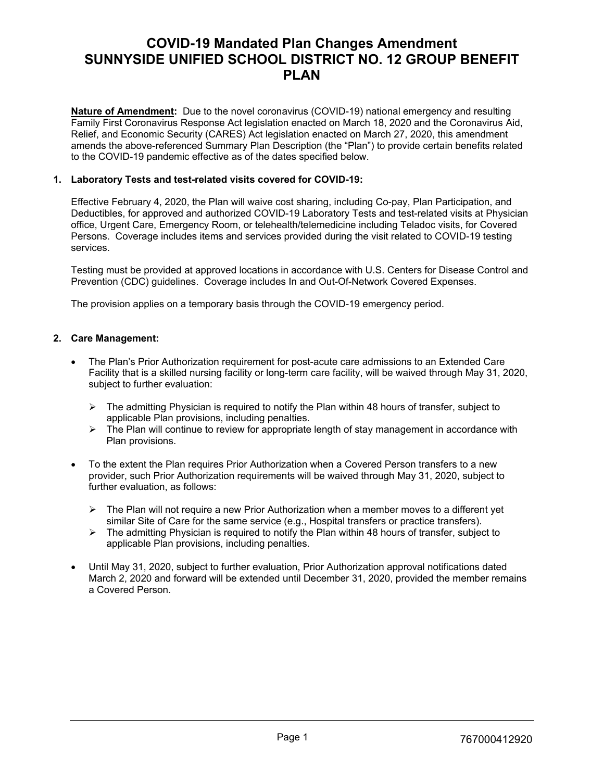# **COVID-19 Mandated Plan Changes Amendment SUNNYSIDE UNIFIED SCHOOL DISTRICT NO. 12 GROUP BENEFIT PLAN**

**Nature of Amendment:** Due to the novel coronavirus (COVID-19) national emergency and resulting Family First Coronavirus Response Act legislation enacted on March 18, 2020 and the Coronavirus Aid, Relief, and Economic Security (CARES) Act legislation enacted on March 27, 2020, this amendment amends the above-referenced Summary Plan Description (the "Plan") to provide certain benefits related to the COVID-19 pandemic effective as of the dates specified below.

## **1. Laboratory Tests and test-related visits covered for COVID-19:**

Effective February 4, 2020, the Plan will waive cost sharing, including Co-pay, Plan Participation, and Deductibles, for approved and authorized COVID-19 Laboratory Tests and test-related visits at Physician office, Urgent Care, Emergency Room, or telehealth/telemedicine including Teladoc visits, for Covered Persons. Coverage includes items and services provided during the visit related to COVID-19 testing services.

Testing must be provided at approved locations in accordance with U.S. Centers for Disease Control and Prevention (CDC) guidelines. Coverage includes In and Out-Of-Network Covered Expenses.

The provision applies on a temporary basis through the COVID-19 emergency period.

# **2. Care Management:**

- The Plan's Prior Authorization requirement for post-acute care admissions to an Extended Care Facility that is a skilled nursing facility or long-term care facility, will be waived through May 31, 2020, subject to further evaluation:
	- $\triangleright$  The admitting Physician is required to notify the Plan within 48 hours of transfer, subject to applicable Plan provisions, including penalties.
	- $\triangleright$  The Plan will continue to review for appropriate length of stay management in accordance with Plan provisions.
- To the extent the Plan requires Prior Authorization when a Covered Person transfers to a new provider, such Prior Authorization requirements will be waived through May 31, 2020, subject to further evaluation, as follows:
	- $\triangleright$  The Plan will not require a new Prior Authorization when a member moves to a different yet similar Site of Care for the same service (e.g., Hospital transfers or practice transfers).
	- $\triangleright$  The admitting Physician is required to notify the Plan within 48 hours of transfer, subject to applicable Plan provisions, including penalties.
- Until May 31, 2020, subject to further evaluation, Prior Authorization approval notifications dated March 2, 2020 and forward will be extended until December 31, 2020, provided the member remains a Covered Person.